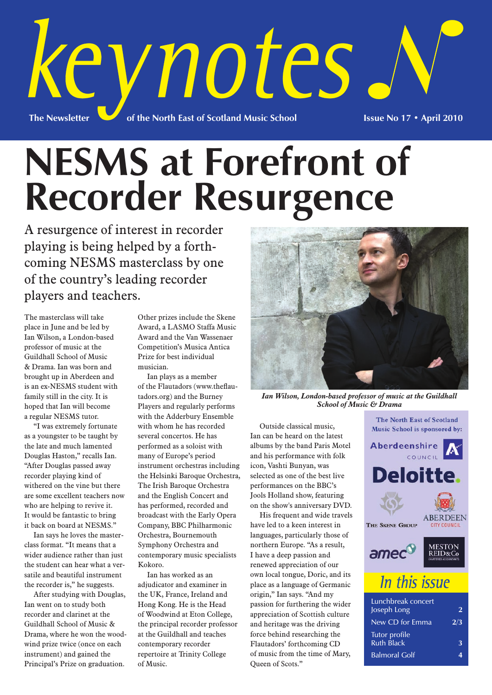

# **NESMS at Forefront of Recorder Resurgence**

A resurgence of interest in recorder playing is being helped by a forthcoming NESMS masterclass by one of the country's leading recorder players and teachers.

The masterclass will take place in June and be led by Ian Wilson, a London-based professor of music at the Guildhall School of Music & Drama. Ian was born and brought up in Aberdeen and is an ex-NESMS student with family still in the city. It is hoped that Ian will become a regular NESMS tutor.

"I was extremely fortunate as a youngster to be taught by the late and much lamented Douglas Haston," recalls Ian. "After Douglas passed away recorder playing kind of withered on the vine but there are some excellent teachers now who are helping to revive it. It would be fantastic to bring it back on board at NESMS."

Ian says he loves the masterclass format. "It means that a wider audience rather than just the student can hear what a versatile and beautiful instrument the recorder is," he suggests.

After studying with Douglas, Ian went on to study both recorder and clarinet at the Guildhall School of Music & Drama, where he won the woodwind prize twice (once on each instrument) and gained the Principal's Prize on graduation.

Other prizes include the Skene Award, a LASMO Staffa Music Award and the Van Wassenaer Competition's Musica Antica Prize for best individual musician.

Ian plays as a member of the Flautadors (www.theflautadors.org) and the Burney Players and regularly performs with the Adderbury Ensemble with whom he has recorded several concertos. He has performed as a soloist with many of Europe's period instrument orchestras including the Helsinki Baroque Orchestra, The Irish Baroque Orchestra and the English Concert and has performed, recorded and broadcast with the Early Opera Company, BBC Philharmonic Orchestra, Bournemouth Symphony Orchestra and contemporary music specialists Kokoro.

Ian has worked as an adjudicator and examiner in the UK, France, Ireland and Hong Kong. He is the Head of Woodwind at Eton College, the principal recorder professor at the Guildhall and teaches contemporary recorder repertoire at Trinity College of Music.



*Ian Wilson, London-based professor of music at the Guildhall School of Music & Drama*

Outside classical music, Ian can be heard on the latest albums by the band Paris Motel and his performance with folk icon, Vashti Bunyan, was selected as one of the best live performances on the BBC's Jools Holland show, featuring on the show's anniversary DVD.

His frequent and wide travels have led to a keen interest in languages, particularly those of northern Europe. "As a result, I have a deep passion and renewed appreciation of our own local tongue, Doric, and its place as a language of Germanic origin," Ian says. "And my passion for furthering the wider appreciation of Scottish culture and heritage was the driving force behind researching the Flautadors' forthcoming CD of music from the time of Mary, Queen of Scots."



Ruth Black **3** Balmoral Golf **4**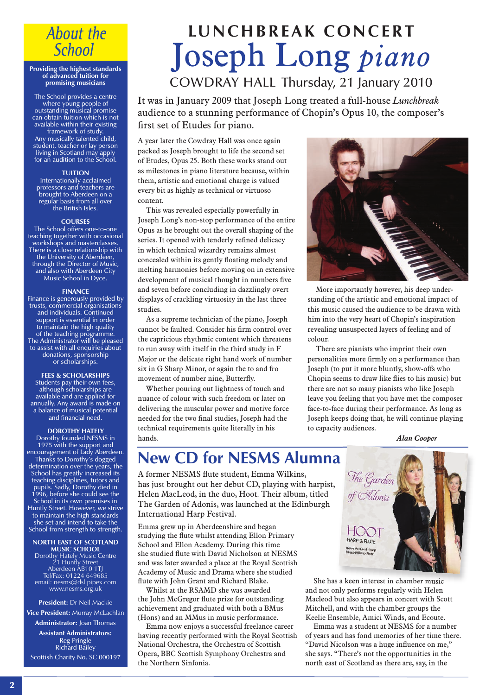## **About the School**

#### **Providing the highest standards of advanced tuition for promising musicians**

The School provides a centre where young people of outstanding musical promise can obtain tuition which is not available within their existing framework of study. Any musically talented child, student, teacher or lay person living in Scotland may apply for an audition to the School.

### **TUITION**

Internationally acclaimed professors and teachers are brought to Aberdeen on a regular basis from all over the British Isles.

### **COURSES**

The School offers one-to-one teaching together with occasional workshops and masterclasses. There is a close relationship with the University of Aberdeen, through the Director of Music, and also with Aberdeen City Music School in Dyce.

### **FINANCE**

Finance is generously provided by trusts, commercial organisations and individuals. Continued support is essential in order to maintain the high quality of the teaching programme. The Administrator will be pleased to assist with all enquiries about donations, sponsorship or scholarships.

**FEES & SCHOLARSHIPS** Students pay their own fees, although scholarships are available and are applied for annually. Any award is made on a balance of musical potential and financial need.

### **DOROTHY HATELY**

Dorothy founded NESMS in 1975 with the support and encouragement of Lady Aberdeen. Thanks to Dorothy's dogged determination over the years, the School has greatly increased its teaching disciplines, tutors and pupils. Sadly, Dorothy died in 1996, before she could see the School in its own premises in Huntly Street. However, we strive to maintain the high standards she set and intend to take the School from strength to strength.

#### **NORTH EAST OF SCOTLAND MUSIC SCHOOL**

Dorothy Hately Music Centre 21 Huntly Street Aberdeen AB10 1TJ Tel/Fax: 01224 649685 email: nesms@dsl.pipex.com www.nesms.org.uk

### **President:** Dr Neil Mackie

**Vice President:** Murray McLachlan **Administrator:** Joan Thomas

**Assistant Administrators:** Reg Pringle Richard Bailey Scottish Charity No. SC 000197

## **LU N C H B R E A K C O N C E R T** Joseph Long *piano*

COWDRAY HALL Thursday, 21 January 2010

It was in January 2009 that Joseph Long treated a full-house *Lunchbreak* audience to a stunning performance of Chopin's Opus 10, the composer's first set of Etudes for piano.

A year later the Cowdray Hall was once again packed as Joseph brought to life the second set of Etudes, Opus 25. Both these works stand out as milestones in piano literature because, within them, artistic and emotional charge is valued every bit as highly as technical or virtuoso content.

This was revealed especially powerfully in Joseph Long's non-stop performance of the entire Opus as he brought out the overall shaping of the series. It opened with tenderly refined delicacy in which technical wizardry remains almost concealed within its gently floating melody and melting harmonies before moving on in extensive development of musical thought in numbers five and seven before concluding in dazzlingly overt displays of crackling virtuosity in the last three studies.

As a supreme technician of the piano, Joseph cannot be faulted. Consider his firm control over the capricious rhythmic content which threatens to run away with itself in the third study in F Major or the delicate right hand work of number six in G Sharp Minor, or again the to and fro movement of number nine, Butterfly.

Whether pouring out lightness of touch and nuance of colour with such freedom or later on delivering the muscular power and motive force needed for the two final studies, Joseph had the technical requirements quite literally in his hands.



More importantly however, his deep understanding of the artistic and emotional impact of this music caused the audience to be drawn with him into the very heart of Chopin's inspiration revealing unsuspected layers of feeling and of colour.

There are pianists who imprint their own personalities more firmly on a performance than Joseph (to put it more bluntly, show-offs who Chopin seems to draw like flies to his music) but there are not so many pianists who like Joseph leave you feeling that you have met the composer face-to-face during their performance. As long as Joseph keeps doing that, he will continue playing to capacity audiences.

*Alan Cooper*

### **New CD for NESMS Alumna**

A former NESMS flute student, Emma Wilkins, has just brought out her debut CD, playing with harpist, Helen MacLeod, in the duo, Hoot. Their album, titled The Garden of Adonis, was launched at the Edinburgh International Harp Festival.

Emma grew up in Aberdeenshire and began studying the flute whilst attending Ellon Primary School and Ellon Academy. During this time she studied flute with David Nicholson at NESMS and was later awarded a place at the Royal Scottish Academy of Music and Drama where she studied flute with John Grant and Richard Blake.

Whilst at the RSAMD she was awarded the John McGregor flute prize for outstanding achievement and graduated with both a BMus (Hons) and an MMus in music performance.

Emma now enjoys a successful freelance career having recently performed with the Royal Scottish National Orchestra, the Orchestra of Scottish Opera, BBC Scottish Symphony Orchestra and the Northern Sinfonia.



She has a keen interest in chamber music and not only performs regularly with Helen Macleod but also appears in concert with Scott Mitchell, and with the chamber groups the Keelie Ensemble, Amici Winds, and Ecoute.

Emma was a student at NESMS for a number of years and has fond memories of her time there. "David Nicolson was a huge influence on me," she says. "There's not the opportunities in the north east of Scotland as there are, say, in the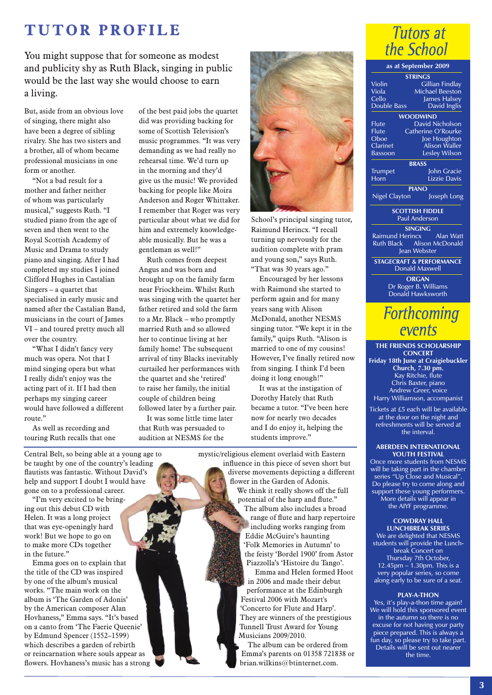## **TUTOR PROFILE**

You might suppose that for someone as modest and publicity shy as Ruth Black, singing in public would be the last way she would choose to earn a living.

But, aside from an obvious love of singing, there might also have been a degree of sibling rivalry. She has two sisters and a brother, all of whom became professional musicians in one form or another.

"Not a bad result for a mother and father neither of whom was particularly musical," suggests Ruth. "I studied piano from the age of seven and then went to the Royal Scottish Academy of Music and Drama to study piano and singing. After I had completed my studies I joined Clifford Hughes in Castalian Singers – a quartet that specialised in early music and named after the Castalian Band, musicians in the court of James VI – and toured pretty much all over the country.

"What I didn't fancy very much was opera. Not that I mind singing opera but what I really didn't enjoy was the acting part of it. If I had then perhaps my singing career would have followed a different route."

As well as recording and touring Ruth recalls that one of the best paid jobs the quartet did was providing backing for some of Scottish Television's music programmes. "It was very demanding as we had really no rehearsal time. We'd turn up in the morning and they'd give us the music! We provided backing for people like Moira Anderson and Roger Whittaker. I remember that Roger was very particular about what we did for him and extremely knowledgeable musically. But he was a gentleman as well!"

Ruth comes from deepest Angus and was born and brought up on the family farm near Friockheim. Whilst Ruth was singing with the quartet her father retired and sold the farm to a Mr. Black – who promptly married Ruth and so allowed her to continue living at her family home! The subsequent arrival of tiny Blacks inevitably curtailed her performances with the quartet and she 'retired' to raise her family, the initial couple of children being followed later by a further pair.

It was some little time later that Ruth was persuaded to audition at NESMS for the



School's principal singing tutor, Raimund Herincx. "I recall turning up nervously for the audition complete with pram and young son," says Ruth. "That was 30 years ago."

Encouraged by her lessons with Raimund she started to perform again and for many years sang with Alison McDonald, another NESMS singing tutor. "We kept it in the family," quips Ruth. "Alison is married to one of my cousins! However, I've finally retired now from singing. I think I'd been doing it long enough!"

It was at the instigation of Dorothy Hately that Ruth became a tutor. "I've been here now for nearly two decades and I do enjoy it, helping the students improve."

mystic/religious element overlaid with Eastern influence in this piece of seven short but diverse movements depicting a different flower in the Garden of Adonis. We think it really shows off the full potential of the harp and flute." The album also includes a broad range of flute and harp repertoire including works ranging from Eddie McGuire's haunting 'Folk Memories in Autumn' to the feisty 'Bordel 1900' from Astor Piazzolla's 'Histoire du Tango'.

Emma and Helen formed Hoot in 2006 and made their debut performance at the Edinburgh Festival 2006 with Mozart's 'Concerto for Flute and Harp'. They are winners of the prestigious Tunnell Trust Award for Young Musicians 2009/2010.

The album can be ordered from Emma's parents on 01358 721838 or brian.wilkins@btinternet.com.



**as at September 2009 STRINGS** Violin Gillian Findlay Viola Michael Beeston James Halsey<br>David Inglis Double Bass **WOODWIND** Flute David Nicholson<br>Flute Catherine O'Rourke Flute Catherine O'Rourke<br>Oboe Joe Houghton Oboe Joe Houghton<br>Clarinet Alison Waller Clarinet **Alison Waller**<br>Bassoon Leslev Wilson Lesley Wilson **BRASS** Trumpet John Gracie<br>
Horn Lizzie Davis .<br>Lizzie Davis **PIANO** Nigel Clayton Joseph Long **SCOTTISH FIDDLE** Paul Anderson **SINGING** Raimund Herincx Alan Watt<br>Ruth Black Alison McDonald Alison McDonald Jean Webster **STAGECRAFT & PERFORMANCE** Donald Maxwell **ORGAN**

Dr Roger B. Williams Donald Hawksworth

## **Forthcoming** events

**THE FRIENDS SCHOLARSHIP CONCERT Friday 18th June at Craigiebuckler Church, 7.30 pm.** Kay Ritchie, flute Chris Baxter, piano Andrew Greer, voice Harry Williamson, accompanist

Tickets at £5 each will be available at the door on the night and refreshments will be served at the interval.

### **ABERDEEN INTERNATIONAL YOUTH FESTIVAL**

Once more students from NESMS will be taking part in the chamber series "Up Close and Musical" Do please try to come along and support these young performers. More details will appear in the AIYF programme.

**COWDRAY HALL LUNCHBREAK SERIES** We are delighted that NESMS students will provide the Lunchbreak Concert on Thursday 7th October, 12.45pm  $-1.30$ pm. This is a

very popular series, so come along early to be sure of a seat.

### **PLAY-A-THON**

Yes, it's play-a-thon time again! We will hold this sponsored event in the autumn so there is no excuse for not having your party piece prepared. This is always a fun day, so please try to take part. Details will be sent out nearer the time.

Central Belt, so being able at a young age to be taught by one of the country's leading flautists was fantastic. Without David's help and support I doubt I would have gone on to a professional career.

"I'm very excited to be bringing out this debut CD with Helen. It was a long project that was eye-openingly hard work! But we hope to go on to make more CDs together in the future."

Emma goes on to explain that the title of the CD was inspired by one of the album's musical works. "The main work on the album is 'The Garden of Adonis' by the American composer Alan Hovhaness," Emma says. "It's based on a canto from 'The Faerie Queenie' by Edmund Spencer (1552–1599) which describes a garden of rebirth or reincarnation where souls appear as flowers. Hovhaness's music has a strong